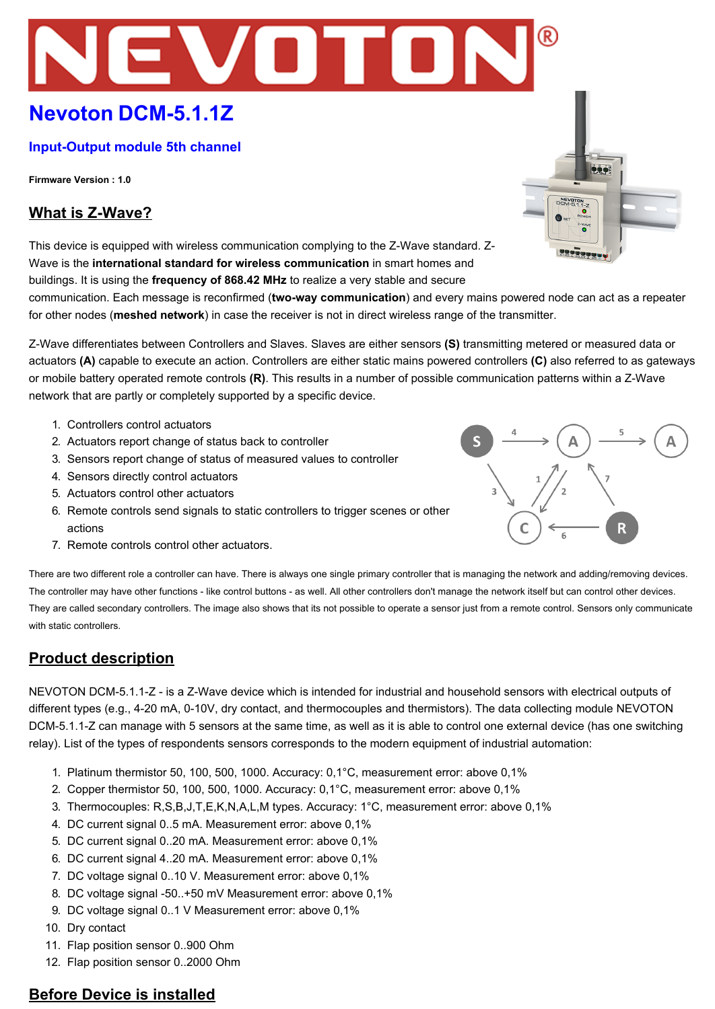# **Nevoton DCM-5.1.1Z**

## **Input-Output module 5th channel**

**Firmware Version : 1.0**

# **What is Z-Wave?**

This device is equipped with wireless communication complying to the Z-Wave standard. Z-Wave is the **international standard for wireless communication** in smart homes and buildings. It is using the **frequency of 868.42 MHz** to realize a very stable and secure

communication. Each message is reconfirmed (**twoway communication**) and every mains powered node can act as a repeater for other nodes (**meshed network**) in case the receiver is not in direct wireless range of the transmitter.

VOTOR

ZWave differentiates between Controllers and Slaves. Slaves are either sensors **(S)** transmitting metered or measured data or actuators **(A)** capable to execute an action. Controllers are either static mains powered controllers **(C)** also referred to as gateways or mobile battery operated remote controls **(R)**. This results in a number of possible communication patterns within a ZWave network that are partly or completely supported by a specific device.

- 1. Controllers control actuators
- 2. Actuators report change of status back to controller
- 3. Sensors report change of status of measured values to controller
- 4. Sensors directly control actuators
- 5. Actuators control other actuators
- 6. Remote controls send signals to static controllers to trigger scenes or other actions
- 7. Remote controls control other actuators.



990

NEVOTO

There are two different role a controller can have. There is always one single primary controller that is managing the network and adding/removing devices. The controller may have other functions - like control buttons - as well. All other controllers don't manage the network itself but can control other devices. They are called secondary controllers. The image also shows that its not possible to operate a sensor just from a remote control. Sensors only communicate with static controllers.

# **Product description**

NEVOTON DCM-5.1.1-Z - is a Z-Wave device which is intended for industrial and household sensors with electrical outputs of different types (e.g., 4-20 mA, 0-10V, dry contact, and thermocouples and thermistors). The data collecting module NEVOTON DCM-5.1.1-Z can manage with 5 sensors at the same time, as well as it is able to control one external device (has one switching relay). List of the types of respondents sensors corresponds to the modern equipment of industrial automation:

- 1. Platinum thermistor 50, 100, 500, 1000. Accuracy: 0,1°С, measurement error: above 0,1%
- 2. Copper thermistor 50, 100, 500, 1000. Accuracy: 0,1°С, measurement error: above 0,1%
- 3. Thermocouples: R,S,B,J,T,E,K,N,A,L,M types. Accuracy: 1°С, measurement error: above 0,1%
- 4. DC current signal 0..5 mA. Measurement error: above 0,1%
- 5. DC current signal 0..20 mA. Measurement error: above 0,1%
- 6. DC current signal 4..20 mA. Measurement error: above 0,1%
- 7. DC voltage signal 0..10 V. Measurement error: above 0,1%
- 8. DC voltage signal -50..+50 mV Measurement error: above 0,1%
- 9. DC voltage signal 0..1 V Measurement error: above 0,1%
- 10. Dry contact
- 11. Flap position sensor 0..900 Ohm
- 12. Flap position sensor 0..2000 Ohm

# **Before Device is installed**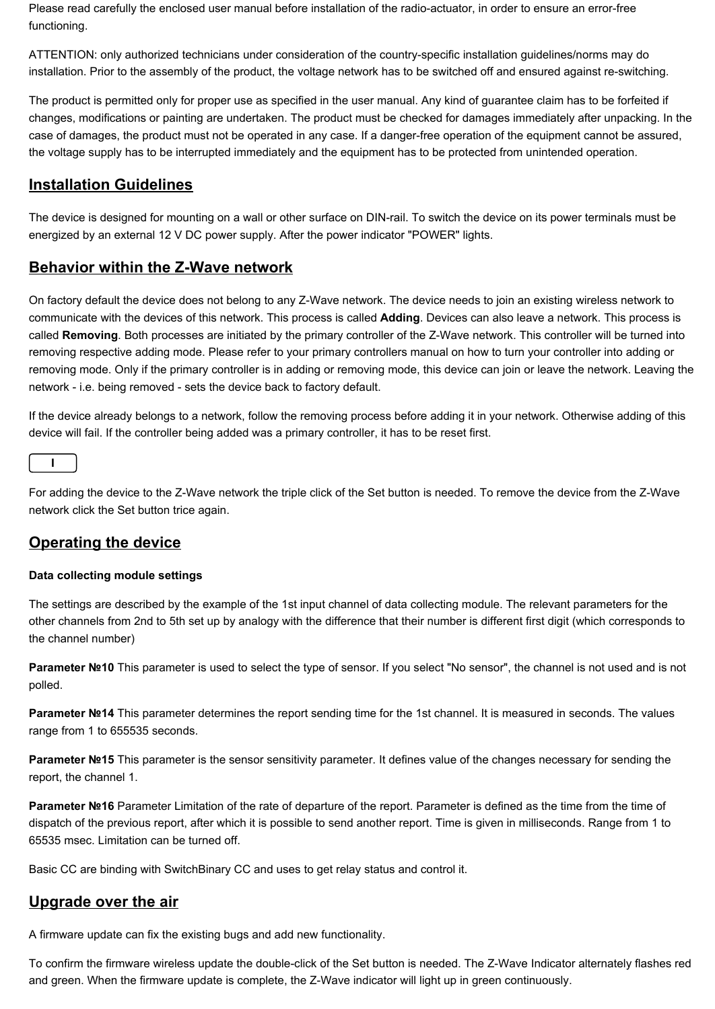Please read carefully the enclosed user manual before installation of the radio-actuator, in order to ensure an error-free functioning.

ATTENTION: only authorized technicians under consideration of the countryspecific installation guidelines/norms may do installation. Prior to the assembly of the product, the voltage network has to be switched off and ensured against re-switching.

The product is permitted only for proper use as specified in the user manual. Any kind of guarantee claim has to be forfeited if changes, modifications or painting are undertaken. The product must be checked for damages immediately after unpacking. In the case of damages, the product must not be operated in any case. If a danger-free operation of the equipment cannot be assured, the voltage supply has to be interrupted immediately and the equipment has to be protected from unintended operation.

# **Installation Guidelines**

The device is designed for mounting on a wall or other surface on DIN-rail. To switch the device on its power terminals must be energized by an external 12 V DC power supply. After the power indicator "POWER" lights.

# **Behavior within the Z-Wave network**

On factory default the device does not belong to any ZWave network. The device needs to join an existing wireless network to communicate with the devices of this network. This process is called **Adding**. Devices can also leave a network. This process is called Removing. Both processes are initiated by the primary controller of the Z-Wave network. This controller will be turned into removing respective adding mode. Please refer to your primary controllers manual on how to turn your controller into adding or removing mode. Only if the primary controller is in adding or removing mode, this device can join or leave the network. Leaving the network - i.e. being removed - sets the device back to factory default.

If the device already belongs to a network, follow the removing process before adding it in your network. Otherwise adding of this device will fail. If the controller being added was a primary controller, it has to be reset first.

For adding the device to the ZWave network the triple click of the Set button is needed. To remove the device from the ZWave network click the Set button trice again.

# **Operating the device**

#### **Data collecting module settings**

The settings are described by the example of the 1st input channel of data collecting module. The relevant parameters for the other channels from 2nd to 5th set up by analogy with the difference that their number is different first digit (which corresponds to the channel number)

Parameter Nº10 This parameter is used to select the type of sensor. If you select "No sensor", the channel is not used and is not polled.

**Parameter №14** This parameter determines the report sending time for the 1st channel. It is measured in seconds. The values range from 1 to 655535 seconds.

**Parameter Nº15** This parameter is the sensor sensitivity parameter. It defines value of the changes necessary for sending the report, the channel 1.

**Parameter Nº16** Parameter Limitation of the rate of departure of the report. Parameter is defined as the time from the time of dispatch of the previous report, after which it is possible to send another report. Time is given in milliseconds. Range from 1 to 65535 msec. Limitation can be turned off.

Basic CC are binding with SwitchBinary CC and uses to get relay status and control it.

# **Upgrade over the air**

A firmware update can fix the existing bugs and add new functionality.

To confirm the firmware wireless update the double-click of the Set button is needed. The Z-Wave Indicator alternately flashes red and green. When the firmware update is complete, the Z-Wave indicator will light up in green continuously.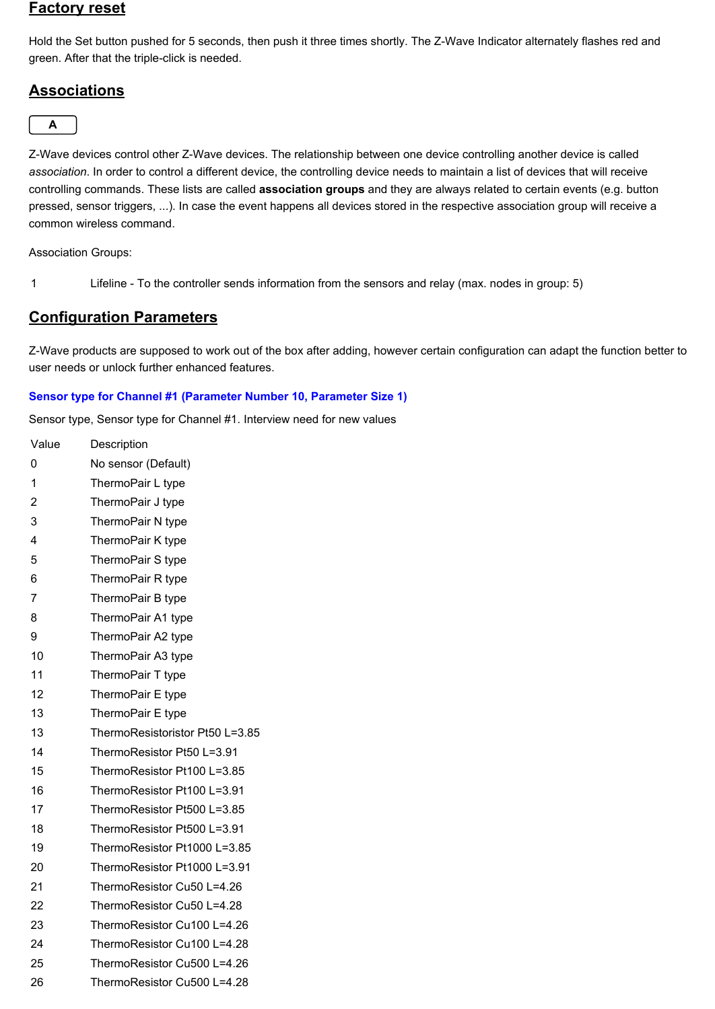## **Factory reset**

Hold the Set button pushed for 5 seconds, then push it three times shortly. The Z-Wave Indicator alternately flashes red and green. After that the triple-click is needed.

# **Associations**



Z-Wave devices control other Z-Wave devices. The relationship between one device controlling another device is called *association*. In order to control a different device, the controlling device needs to maintain a list of devices that will receive controlling commands. These lists are called **association groups** and they are always related to certain events (e.g. button pressed, sensor triggers, ...). In case the event happens all devices stored in the respective association group will receive a common wireless command.

Association Groups:

Lifeline To the controller sends information from the sensors and relay (max. nodes in group: 5)

# **Configuration Parameters**

Z-Wave products are supposed to work out of the box after adding, however certain configuration can adapt the function better to user needs or unlock further enhanced features.

#### **Sensor type for Channel #1 (Parameter Number 10, Parameter Size 1)**

Sensor type, Sensor type for Channel #1. Interview need for new values

| Value          | Description                     |
|----------------|---------------------------------|
| 0              | No sensor (Default)             |
| 1              | ThermoPair L type               |
| $\overline{c}$ | ThermoPair J type               |
| 3              | ThermoPair N type               |
| 4              | ThermoPair K type               |
| 5              | ThermoPair S type               |
| 6              | ThermoPair R type               |
| 7              | ThermoPair B type               |
| 8              | ThermoPair A1 type              |
| 9              | ThermoPair A2 type              |
| 10             | ThermoPair A3 type              |
| 11             | ThermoPair T type               |
| 12             | ThermoPair E type               |
| 13             | ThermoPair E type               |
| 13             | ThermoResistoristor Pt50 L=3.85 |
| 14             | ThermoResistor Pt50 L=3.91      |
| 15             | ThermoResistor Pt100 L=3.85     |
| 16             | ThermoResistor Pt100 L=3.91     |
| 17             | ThermoResistor Pt500 L=3.85     |
| 18             | ThermoResistor Pt500 L=3.91     |
| 19             | ThermoResistor Pt1000 L=3.85    |
| 20             | ThermoResistor Pt1000 L=3.91    |
| 21             | ThermoResistor Cu50 L=4.26      |
| 22             | ThermoResistor Cu50 L=4.28      |
| 23             | ThermoResistor Cu100 L=4.26     |
| 24             | ThermoResistor Cu100 L=4.28     |
| 25             | ThermoResistor Cu500 L=4.26     |
| 26             | ThermoResistor Cu500 L=4.28     |
|                |                                 |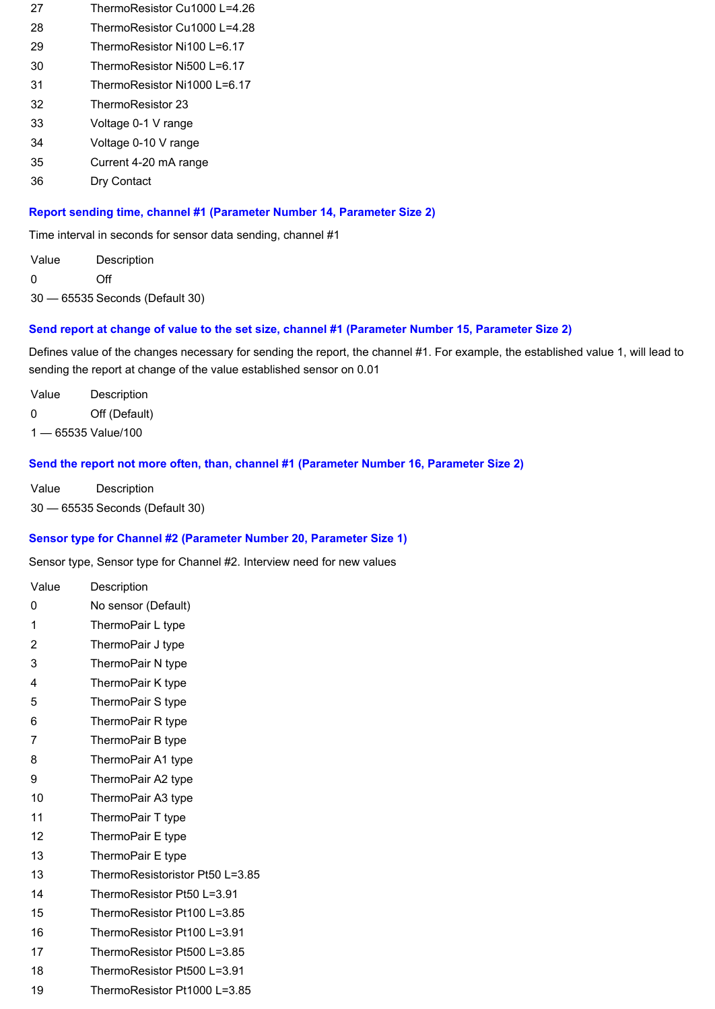- ThermoResistor Cu1000 L=4.26
- ThermoResistor Cu1000 L=4.28
- ThermoResistor Ni100 L=6.17
- ThermoResistor Ni500 L=6.17
- ThermoResistor Ni1000 L=6.17
- ThermoResistor 23
- Voltage 01 V range
- 34 Voltage 0-10 V range
- Current 420 mA range
- Dry Contact

#### **Report sending time, channel #1 (Parameter Number 14, Parameter Size 2)**

Time interval in seconds for sensor data sending, channel #1

Value Description Off — 65535 Seconds (Default 30)

#### **Send report at change of value to the set size, channel #1 (Parameter Number 15, Parameter Size 2)**

Defines value of the changes necessary for sending the report, the channel #1. For example, the established value 1, will lead to sending the report at change of the value established sensor on 0.01

Value Description Off (Default)

— 65535 Value/100

#### **Send the report not more often, than, channel #1 (Parameter Number 16, Parameter Size 2)**

Value Description — 65535 Seconds (Default 30)

## **Sensor type for Channel #2 (Parameter Number 20, Parameter Size 1)**

Sensor type, Sensor type for Channel #2. Interview need for new values

- Value Description No sensor (Default)
- ThermoPair L type
- ThermoPair J type
- ThermoPair N type
- ThermoPair K type
- ThermoPair S type ThermoPair R type
- ThermoPair B type
- ThermoPair A1 type
- ThermoPair A2 type
- ThermoPair A3 type
- ThermoPair T type
- ThermoPair E type
- ThermoPair E type
- ThermoResistoristor Pt50 L=3.85
- ThermoResistor Pt50 L=3.91
- ThermoResistor Pt100 L=3.85
- ThermoResistor Pt100 L=3.91
- ThermoResistor Pt500 L=3.85
- ThermoResistor Pt500 L=3.91
- ThermoResistor Pt1000 L=3.85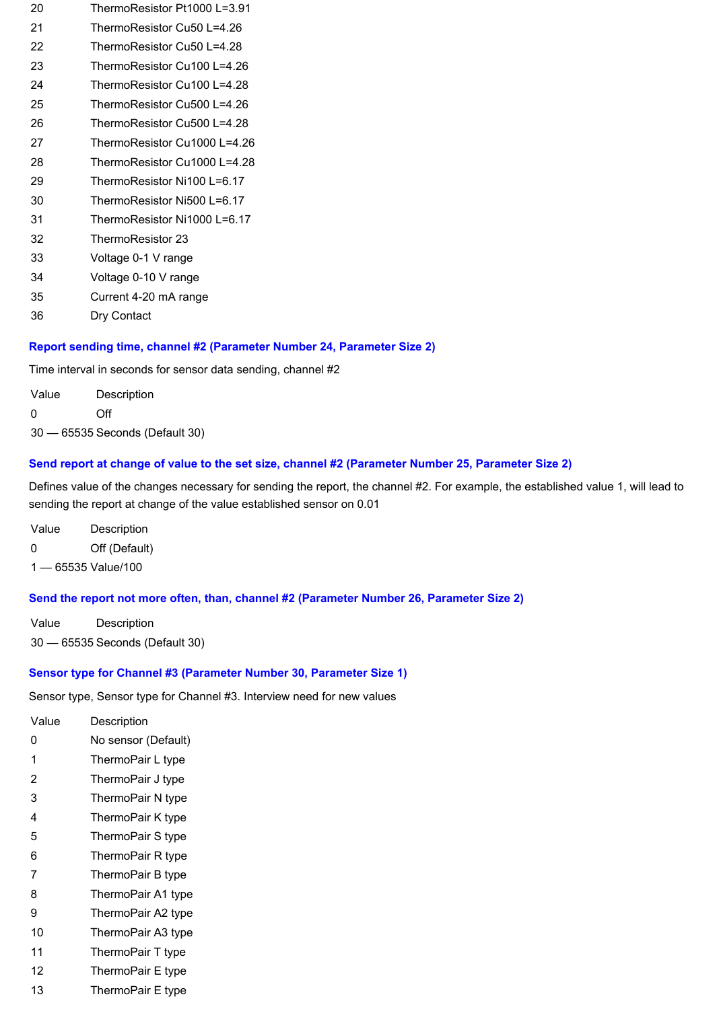- ThermoResistor Pt1000 L=3.91
- ThermoResistor Cu50 L=4.26
- ThermoResistor Cu50 L=4.28
- ThermoResistor Cu100 L=4.26
- ThermoResistor Cu100 L=4.28
- ThermoResistor Cu500 L=4.26
- ThermoResistor Cu500 L=4.28
- ThermoResistor Cu1000 L=4.26
- ThermoResistor Cu1000 L=4.28
- ThermoResistor Ni100 L=6.17
- ThermoResistor Ni500 L=6.17
- ThermoResistor Ni1000 L=6.17
- ThermoResistor 23
- 33 Voltage 0-1 V range
- 34 Voltage 0-10 V range
- Current 420 mA range
- Dry Contact

## **Report sending time, channel #2 (Parameter Number 24, Parameter Size 2)**

Time interval in seconds for sensor data sending, channel #2

Value Description Off

— 65535 Seconds (Default 30)

## **Send report at change of value to the set size, channel #2 (Parameter Number 25, Parameter Size 2)**

Defines value of the changes necessary for sending the report, the channel #2. For example, the established value 1, will lead to sending the report at change of the value established sensor on 0.01

- Value Description
- Off (Default)
- 65535 Value/100

## **Send the report not more often, than, channel #2 (Parameter Number 26, Parameter Size 2)**

Value Description — 65535 Seconds (Default 30)

## **Sensor type for Channel #3 (Parameter Number 30, Parameter Size 1)**

Sensor type, Sensor type for Channel #3. Interview need for new values

| Value | Description         |
|-------|---------------------|
| 0     | No sensor (Default) |
| 1     | ThermoPair L type   |
| 2     | ThermoPair J type   |
| 3     | ThermoPair N type   |
| 4     | ThermoPair K type   |
| 5     | ThermoPair S type   |
| 6     | ThermoPair R type   |
| 7     | ThermoPair B type   |
| 8     | ThermoPair A1 type  |
| 9     | ThermoPair A2 type  |
| 10    | ThermoPair A3 type  |
| 11    | ThermoPair T type   |
| 12    | ThermoPair E type   |

ThermoPair E type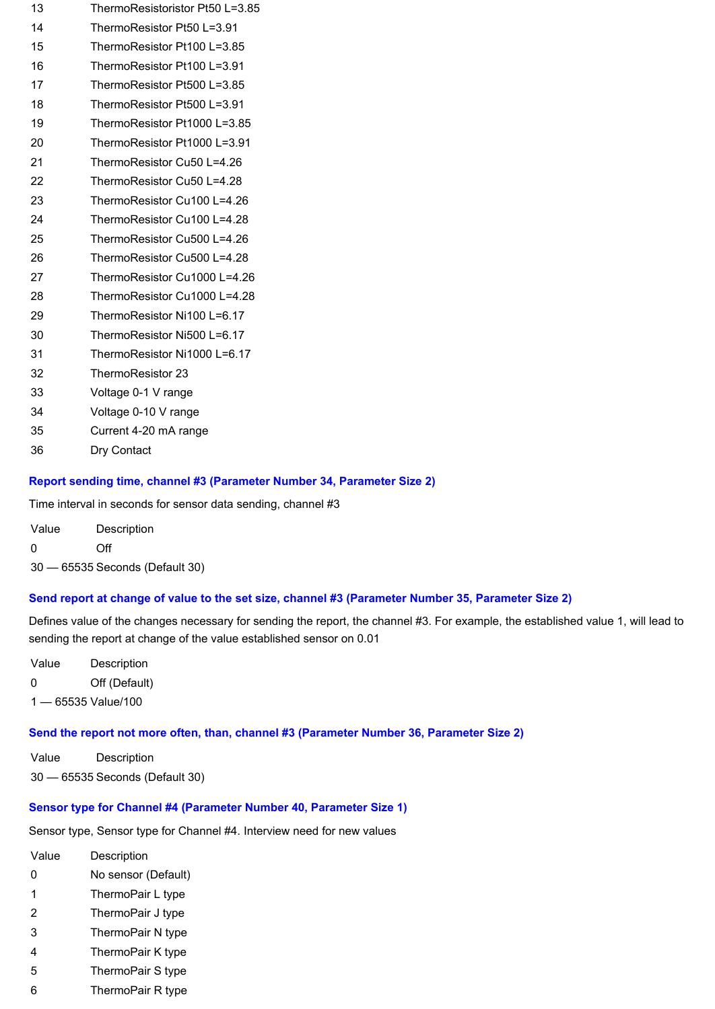- ThermoResistoristor Pt50 L=3.85
- ThermoResistor Pt50 L=3.91
- ThermoResistor Pt100 L=3.85
- ThermoResistor Pt100 L=3.91
- ThermoResistor Pt500 L=3.85
- ThermoResistor Pt500 L=3.91
- ThermoResistor Pt1000 L=3.85
- 20 ThermoResistor Pt1000 L=3.91
- ThermoResistor Cu50 L=4.26
- ThermoResistor Cu50 L=4.28
- ThermoResistor Cu100 L=4.26
- ThermoResistor Cu100 L=4.28
- ThermoResistor Cu500 L=4.26
- ThermoResistor Cu500 L=4.28
- ThermoResistor Cu1000 L=4.26
- ThermoResistor Cu1000 L=4.28
- ThermoResistor Ni100 L=6.17
- ThermoResistor Ni500 L=6.17 ThermoResistor Ni1000 L=6.17
- 
- ThermoResistor 23
- 33 Voltage 0-1 V range
- 34 Voltage 0-10 V range
- Current 420 mA range
- Dry Contact

## **Report sending time, channel #3 (Parameter Number 34, Parameter Size 2)**

Time interval in seconds for sensor data sending, channel #3

| Value | Description |
|-------|-------------|
| 0     | Off         |

— 65535 Seconds (Default 30)

# **Send report at change of value to the set size, channel #3 (Parameter Number 35, Parameter Size 2)**

Defines value of the changes necessary for sending the report, the channel #3. For example, the established value 1, will lead to sending the report at change of the value established sensor on 0.01

Value Description Off (Default) — 65535 Value/100

## **Send the report not more often, than, channel #3 (Parameter Number 36, Parameter Size 2)**

Value Description — 65535 Seconds (Default 30)

## **Sensor type for Channel #4 (Parameter Number 40, Parameter Size 1)**

Sensor type, Sensor type for Channel #4. Interview need for new values

- Value Description
- No sensor (Default)
- ThermoPair L type
- ThermoPair J type
- ThermoPair N type
- ThermoPair K type
- ThermoPair S type
- ThermoPair R type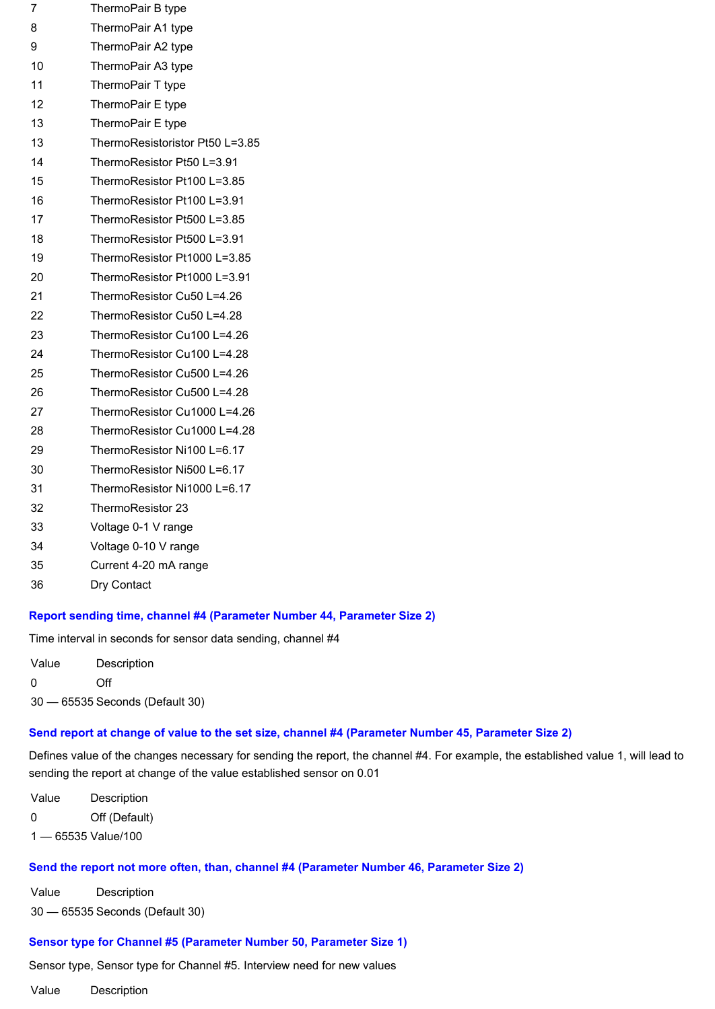| 7  | ThermoPair B type               |
|----|---------------------------------|
| 8  | ThermoPair A1 type              |
| 9  | ThermoPair A2 type              |
| 10 | ThermoPair A3 type              |
| 11 | ThermoPair T type               |
| 12 | ThermoPair E type               |
| 13 | ThermoPair E type               |
| 13 | ThermoResistoristor Pt50 L=3.85 |
| 14 | ThermoResistor Pt50 L=3.91      |
| 15 | ThermoResistor Pt100 L=3.85     |
| 16 | ThermoResistor Pt100 L=3.91     |
| 17 | ThermoResistor Pt500 L=3.85     |
| 18 | ThermoResistor Pt500 L=3.91     |
| 19 | ThermoResistor Pt1000 L=3.85    |
| 20 | ThermoResistor Pt1000 L=3.91    |
| 21 | ThermoResistor Cu50 L=4.26      |
| 22 | ThermoResistor Cu50 L=4.28      |
| 23 | ThermoResistor Cu100 L=4.26     |
| 24 | ThermoResistor Cu100 L=4.28     |
| 25 | ThermoResistor Cu500 L=4.26     |
| 26 | ThermoResistor Cu500 L=4.28     |
| 27 | ThermoResistor Cu1000 L=4.26    |
| 28 | ThermoResistor Cu1000 L=4.28    |
| 29 | ThermoResistor Ni100 L=6.17     |
| 30 | ThermoResistor Ni500 L=6.17     |
| 31 | ThermoResistor Ni1000 L=6.17    |
| 32 | ThermoResistor 23               |
| 33 | Voltage 0-1 V range             |
| 34 | Voltage 0-10 V range            |
| 35 | Current 4-20 mA range           |

Dry Contact

#### **Report sending time, channel #4 (Parameter Number 44, Parameter Size 2)**

Time interval in seconds for sensor data sending, channel #4

Value Description Off — 65535 Seconds (Default 30)

#### **Send report at change of value to the set size, channel #4 (Parameter Number 45, Parameter Size 2)**

Defines value of the changes necessary for sending the report, the channel #4. For example, the established value 1, will lead to sending the report at change of the value established sensor on 0.01

Value Description Off (Default) — 65535 Value/100

#### **Send the report not more often, than, channel #4 (Parameter Number 46, Parameter Size 2)**

Value Description — 65535 Seconds (Default 30)

#### **Sensor type for Channel #5 (Parameter Number 50, Parameter Size 1)**

Sensor type, Sensor type for Channel #5. Interview need for new values

Value Description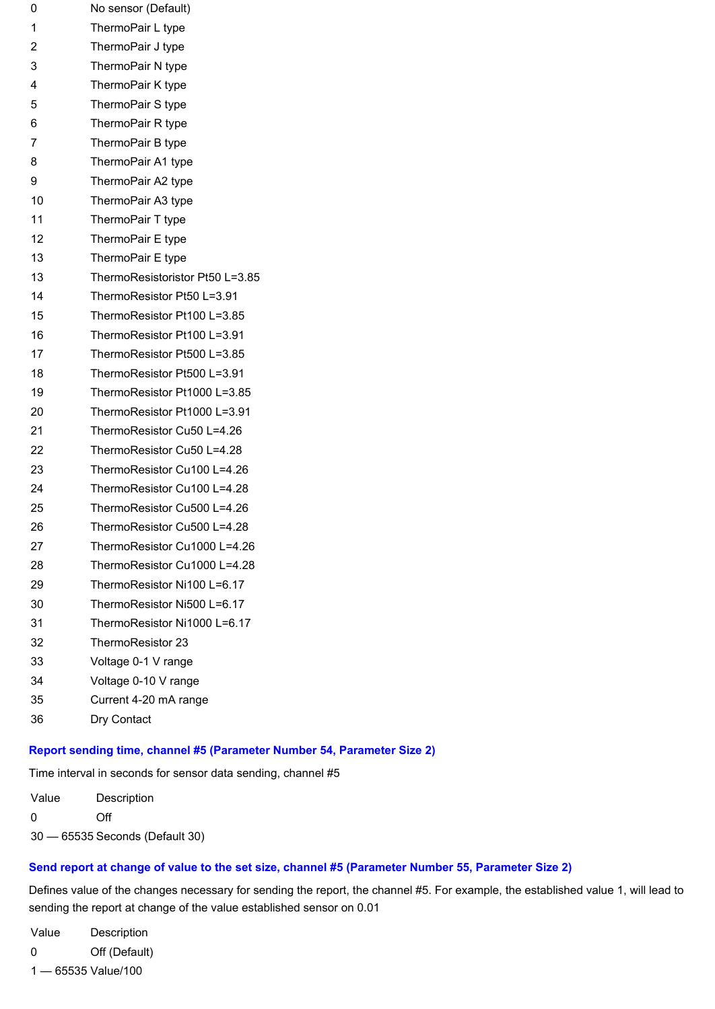| 0              | No sensor (Default)            |
|----------------|--------------------------------|
| 1              | ThermoPair L type              |
| $\overline{2}$ | ThermoPair J type              |
| 3              | ThermoPair N type              |
| 4              | ThermoPair K type              |
| 5              | ThermoPair S type              |
| 6              | ThermoPair R type              |
| 7              | ThermoPair B type              |
| 8              | ThermoPair A1 type             |
| 9              | ThermoPair A2 type             |
| 10             | ThermoPair A3 type             |
| 11             | ThermoPair T type              |
| 12             | ThermoPair E type              |
| 13             | ThermoPair E type              |
| 13             | ThermoResistoristor Pt50 L=3.8 |
| 14             | ThermoResistor Pt50 L=3.91     |
| 15             | ThermoResistor Pt100 L=3.85    |
| 16             | ThermoResistor Pt100 L=3.91    |
| 17             | ThermoResistor Pt500 L=3.85    |
| 18             | ThermoResistor Pt500 L=3.91    |
| 19             | ThermoResistor Pt1000 L=3.85   |
| 20             | ThermoResistor Pt1000 L=3.91   |
| 21             | ThermoResistor Cu50 L=4.26     |
| 22             | ThermoResistor Cu50 L=4.28     |
| 23             | ThermoResistor Cu100 L=4.26    |
| 24             | ThermoResistor Cu100 L=4.28    |
| 25             | ThermoResistor Cu500 L=4.26    |
| 26             | ThermoResistor Cu500 L=4.28    |
| 27             | ThermoResistor Cu1000 L=4.26   |
| 28             | ThermoResistor Cu1000 L=4.28   |
| 29             | ThermoResistor Ni100 L=6.17    |
| 30             | ThermoResistor Ni500 L=6.17    |

- ThermoResistor Ni1000 L=6.17
- ThermoResistor 23
- 33 Voltage 0-1 V range
- 34 Voltage 0-10 V range
- Current 420 mA range
- Dry Contact

#### **Report sending time, channel #5 (Parameter Number 54, Parameter Size 2)**

 $L=3.85$ 

Time interval in seconds for sensor data sending, channel #5

Value Description Off

— 65535 Seconds (Default 30)

#### **Send report at change of value to the set size, channel #5 (Parameter Number 55, Parameter Size 2)**

Defines value of the changes necessary for sending the report, the channel #5. For example, the established value 1, will lead to sending the report at change of the value established sensor on 0.01

Value Description Off (Default) — 65535 Value/100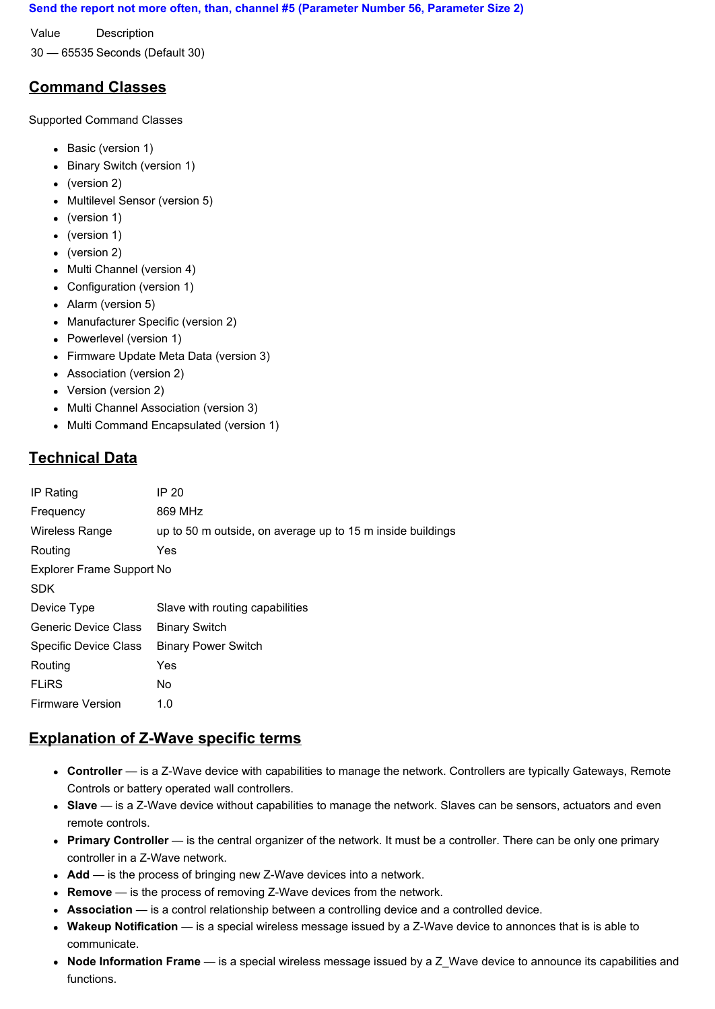#### **Send the report not more often, than, channel #5 (Parameter Number 56, Parameter Size 2)**

Value Description

30 — 65535 Seconds (Default 30)

# **Command Classes**

Supported Command Classes

- Basic (version 1)
- Binary Switch (version 1)
- (version 2)
- Multilevel Sensor (version 5)
- (version 1)
- (version 1)
- (version 2)
- Multi Channel (version 4)
- Configuration (version 1)
- Alarm (version 5)
- Manufacturer Specific (version 2)
- Powerlevel (version 1)
- Firmware Update Meta Data (version 3)
- Association (version 2)
- Version (version 2)
- Multi Channel Association (version 3)
- Multi Command Encapsulated (version 1)

# **Technical Data**

| IP Rating                 | IP 20                                                      |  |
|---------------------------|------------------------------------------------------------|--|
| Frequency                 | 869 MHz                                                    |  |
| Wireless Range            | up to 50 m outside, on average up to 15 m inside buildings |  |
| Routing                   | Yes                                                        |  |
| Explorer Frame Support No |                                                            |  |
| <b>SDK</b>                |                                                            |  |
| Device Type               | Slave with routing capabilities                            |  |
| Generic Device Class      | <b>Binary Switch</b>                                       |  |
| Specific Device Class     | <b>Binary Power Switch</b>                                 |  |
| Routing                   | Yes                                                        |  |
| <b>FLIRS</b>              | No.                                                        |  |
| <b>Firmware Version</b>   | 1.0                                                        |  |

# **Explanation of Z-Wave specific terms**

- **Controller** is a ZWave device with capabilities to manage the network. Controllers are typically Gateways, Remote Controls or battery operated wall controllers.
- **Slave** is a ZWave device without capabilities to manage the network. Slaves can be sensors, actuators and even remote controls.
- **Primary Controller** is the central organizer of the network. It must be a controller. There can be only one primary controller in a Z-Wave network.
- Add is the process of bringing new Z-Wave devices into a network.
- Remove is the process of removing Z-Wave devices from the network.
- **Association** is a control relationship between a controlling device and a controlled device.
- Wakeup Notification is a special wireless message issued by a Z-Wave device to annonces that is is able to communicate.
- **Node Information Frame** is a special wireless message issued by a Z\_Wave device to announce its capabilities and functions.